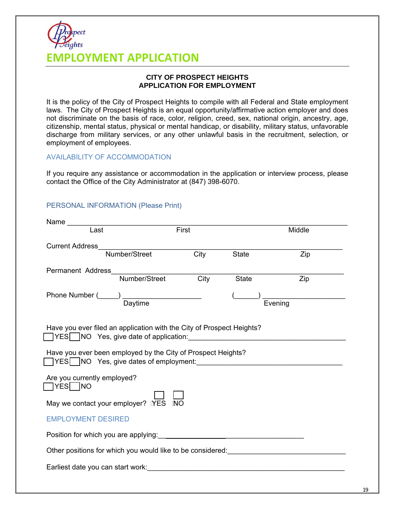# **EMPLOYMENT APPLICATION**

#### **CITY OF PROSPECT HEIGHTS APPLICATION FOR EMPLOYMENT**

It is the policy of the City of Prospect Heights to compile with all Federal and State employment laws. The City of Prospect Heights is an equal opportunity/affirmative action employer and does not discriminate on the basis of race, color, religion, creed, sex, national origin, ancestry, age, citizenship, mental status, physical or mental handicap, or disability, military status, unfavorable discharge from military services, or any other unlawful basis in the recruitment, selection, or employment of employees.

#### AVAILABILITY OF ACCOMMODATION

If you require any assistance or accommodation in the application or interview process, please contact the Office of the City Administrator at (847) 398-6070.

### PERSONAL INFORMATION (Please Print)

| Last<br>First<br>Middle<br><b>Current Address</b><br>Number/Street Cit<br>$\overline{City}$<br>Zip<br><b>State</b><br>Permanent Address<br>Number/Street<br>City<br>Zip<br>State<br>Evening<br>Have you ever filed an application with the City of Prospect Heights?<br>Have you ever been employed by the City of Prospect Heights?<br>□ YES NO Yes, give dates of employment:<br>Are you currently employed?<br>$\Box$ YES $\Box$ NO<br>May we contact your employer? NES INO |  |  |  |  |  |
|---------------------------------------------------------------------------------------------------------------------------------------------------------------------------------------------------------------------------------------------------------------------------------------------------------------------------------------------------------------------------------------------------------------------------------------------------------------------------------|--|--|--|--|--|
|                                                                                                                                                                                                                                                                                                                                                                                                                                                                                 |  |  |  |  |  |
|                                                                                                                                                                                                                                                                                                                                                                                                                                                                                 |  |  |  |  |  |
|                                                                                                                                                                                                                                                                                                                                                                                                                                                                                 |  |  |  |  |  |
|                                                                                                                                                                                                                                                                                                                                                                                                                                                                                 |  |  |  |  |  |
|                                                                                                                                                                                                                                                                                                                                                                                                                                                                                 |  |  |  |  |  |
|                                                                                                                                                                                                                                                                                                                                                                                                                                                                                 |  |  |  |  |  |
|                                                                                                                                                                                                                                                                                                                                                                                                                                                                                 |  |  |  |  |  |
| <b>EMPLOYMENT DESIRED</b>                                                                                                                                                                                                                                                                                                                                                                                                                                                       |  |  |  |  |  |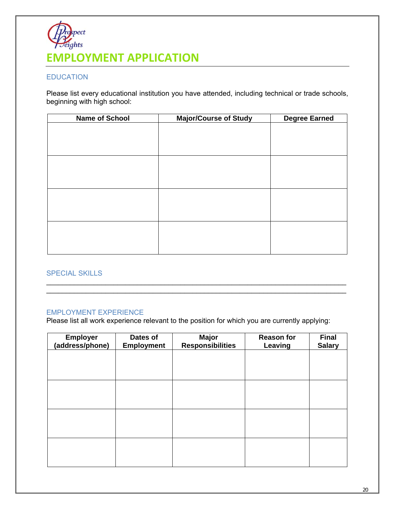

#### EDUCATION

Please list every educational institution you have attended, including technical or trade schools, beginning with high school:

| <b>Name of School</b> | <b>Major/Course of Study</b> | <b>Degree Earned</b> |
|-----------------------|------------------------------|----------------------|
|                       |                              |                      |
|                       |                              |                      |
|                       |                              |                      |
|                       |                              |                      |
|                       |                              |                      |
|                       |                              |                      |
|                       |                              |                      |
|                       |                              |                      |
|                       |                              |                      |
|                       |                              |                      |
|                       |                              |                      |
|                       |                              |                      |
|                       |                              |                      |
|                       |                              |                      |
|                       |                              |                      |

#### SPECIAL SKILLS

#### EMPLOYMENT EXPERIENCE

Please list all work experience relevant to the position for which you are currently applying:

\_\_\_\_\_\_\_\_\_\_\_\_\_\_\_\_\_\_\_\_\_\_\_\_\_\_\_\_\_\_\_\_\_\_\_\_\_\_\_\_\_\_\_\_\_\_\_\_\_\_\_\_\_\_\_\_\_\_\_\_\_\_\_\_\_\_\_\_\_\_\_\_\_\_\_\_ \_\_\_\_\_\_\_\_\_\_\_\_\_\_\_\_\_\_\_\_\_\_\_\_\_\_\_\_\_\_\_\_\_\_\_\_\_\_\_\_\_\_\_\_\_\_\_\_\_\_\_\_\_\_\_\_\_\_\_\_\_\_\_\_\_\_\_\_\_\_\_\_\_\_\_\_

| <b>Employer</b><br>(address/phone) | Dates of<br><b>Employment</b> | <b>Major</b><br><b>Responsibilities</b> | <b>Reason for</b><br><b>Leaving</b> | <b>Final</b><br><b>Salary</b> |
|------------------------------------|-------------------------------|-----------------------------------------|-------------------------------------|-------------------------------|
|                                    |                               |                                         |                                     |                               |
|                                    |                               |                                         |                                     |                               |
|                                    |                               |                                         |                                     |                               |
|                                    |                               |                                         |                                     |                               |
|                                    |                               |                                         |                                     |                               |
|                                    |                               |                                         |                                     |                               |
|                                    |                               |                                         |                                     |                               |
|                                    |                               |                                         |                                     |                               |